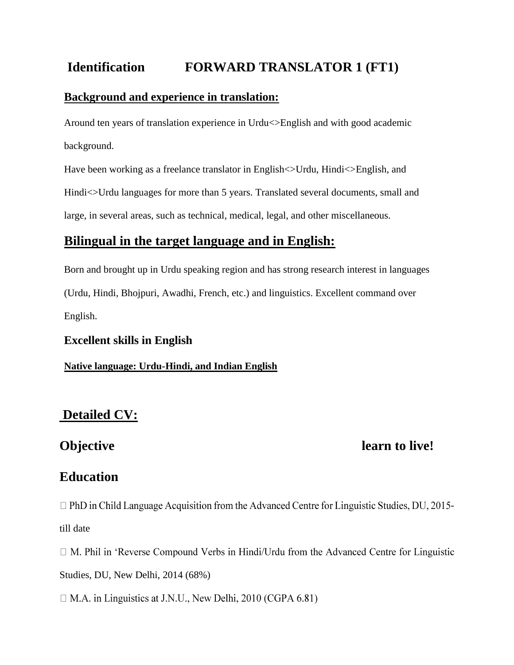# **Identification FORWARD TRANSLATOR 1 (FT1)**

#### **Background and experience in translation:**

Around ten years of translation experience in Urdu<>English and with good academic background.

Have been working as a freelance translator in English $\ll$ Urdu, Hindi $\ll$ English, and Hindi $\ll$ Urdu languages for more than 5 years. Translated several documents, small and large, in several areas, such as technical, medical, legal, and other miscellaneous.

# **Bilingual in the target language and in English:**

Born and brought up in Urdu speaking region and has strong research interest in languages (Urdu, Hindi, Bhojpuri, Awadhi, French, etc.) and linguistics. Excellent command over English.

#### **Excellent skills in English**

**Native language: Urdu-Hindi, and Indian English**

# **Detailed CV:**

# **Objective learn to live!**

# **Education**

 $\Box$  PhD in Child Language Acquisition from the Advanced Centre for Linguistic Studies, DU, 2015till date

 $\Box$  M. Phil in 'Reverse Compound Verbs in Hindi/Urdu from the Advanced Centre for Linguistic Studies, DU, New Delhi, 2014 (68%)

 $\Box$  M.A. in Linguistics at J.N.U., New Delhi, 2010 (CGPA 6.81)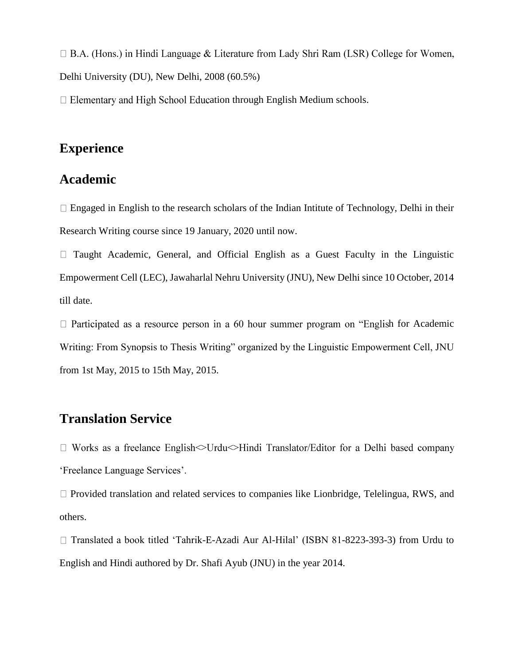$\Box$  B.A. (Hons.) in Hindi Language & Literature from Lady Shri Ram (LSR) College for Women, Delhi University (DU), New Delhi, 2008 (60.5%)

 $\Box$  Elementary and High School Education through English Medium schools.

## **Experience**

# **Academic**

 $\Box$  Engaged in English to the research scholars of the Indian Intitute of Technology, Delhi in their Research Writing course since 19 January, 2020 until now.

 $\Box$  Taught Academic, General, and Official English as a Guest Faculty in the Linguistic Empowerment Cell (LEC), Jawaharlal Nehru University (JNU), New Delhi since 10 October, 2014 till date.

 $\Box$  Participated as a resource person in a 60 hour summer program on "English for Academic Writing: From Synopsis to Thesis Writing" organized by the Linguistic Empowerment Cell, JNU from 1st May, 2015 to 15th May, 2015.

# **Translation Service**

 $\Box$  Works as a freelance English $\triangle$ Urdu $\triangle$ Hindi Translator/Editor for a Delhi based company 'Freelance Language Services'.

 $\Box$  Provided translation and related services to companies like Lionbridge, Telelingua, RWS, and others.

Translated a book titled 'Tahrik-E-Azadi Aur Al-Hilal' (ISBN 81-8223-393-3) from Urdu to English and Hindi authored by Dr. Shafi Ayub (JNU) in the year 2014.